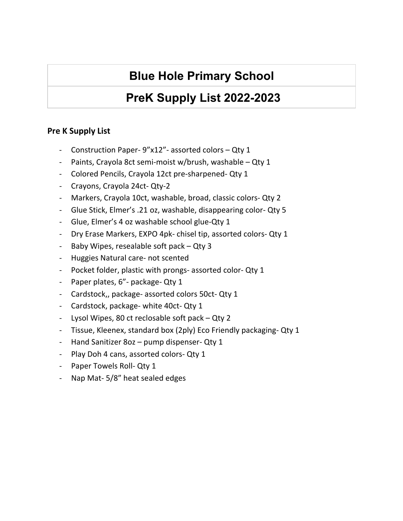### **PreK Supply List 2022-2023**

#### **Pre K Supply List**

- Construction Paper- 9"x12"- assorted colors Qty 1
- Paints, Crayola 8ct semi-moist w/brush, washable Qty 1
- Colored Pencils, Crayola 12ct pre-sharpened- Qty 1
- Crayons, Crayola 24ct- Qty-2
- Markers, Crayola 10ct, washable, broad, classic colors- Qty 2
- Glue Stick, Elmer's .21 oz, washable, disappearing color- Qty 5
- Glue, Elmer's 4 oz washable school glue-Qty 1
- Dry Erase Markers, EXPO 4pk- chisel tip, assorted colors- Qty 1
- Baby Wipes, resealable soft pack Qty 3
- Huggies Natural care- not scented
- Pocket folder, plastic with prongs- assorted color- Qty 1
- Paper plates, 6"- package- Qty 1
- Cardstock,, package- assorted colors 50ct- Qty 1
- Cardstock, package- white 40ct- Qty 1
- Lysol Wipes, 80 ct reclosable soft pack Qty 2
- Tissue, Kleenex, standard box (2ply) Eco Friendly packaging- Qty 1
- Hand Sanitizer 8oz pump dispenser- Qty 1
- Play Doh 4 cans, assorted colors- Qty 1
- Paper Towels Roll- Qty 1
- Nap Mat- 5/8" heat sealed edges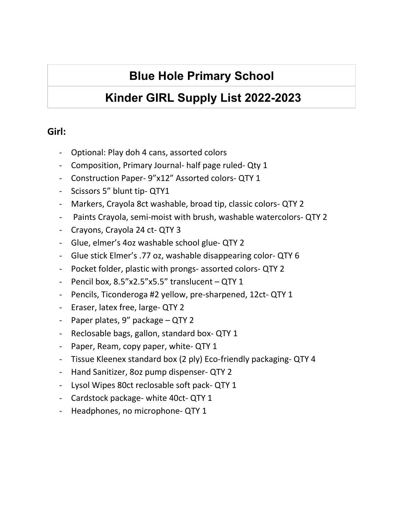# **Kinder GIRL Supply List 2022-2023**

### **Girl:**

- Optional: Play doh 4 cans, assorted colors
- Composition, Primary Journal- half page ruled- Qty 1
- Construction Paper- 9"x12" Assorted colors- QTY 1
- Scissors 5" blunt tip- QTY1
- Markers, Crayola 8ct washable, broad tip, classic colors- QTY 2
- Paints Crayola, semi-moist with brush, washable watercolors- QTY 2
- Crayons, Crayola 24 ct- QTY 3
- Glue, elmer's 4oz washable school glue- QTY 2
- Glue stick Elmer's .77 oz, washable disappearing color- QTY 6
- Pocket folder, plastic with prongs- assorted colors- QTY 2
- Pencil box, 8.5"x2.5"x5.5" translucent QTY 1
- Pencils, Ticonderoga #2 yellow, pre-sharpened, 12ct- QTY 1
- Eraser, latex free, large- QTY 2
- Paper plates, 9" package QTY 2
- Reclosable bags, gallon, standard box- QTY 1
- Paper, Ream, copy paper, white- QTY 1
- Tissue Kleenex standard box (2 ply) Eco-friendly packaging- QTY 4
- Hand Sanitizer, 8oz pump dispenser- QTY 2
- Lysol Wipes 80ct reclosable soft pack- QTY 1
- Cardstock package- white 40ct- QTY 1
- Headphones, no microphone- QTY 1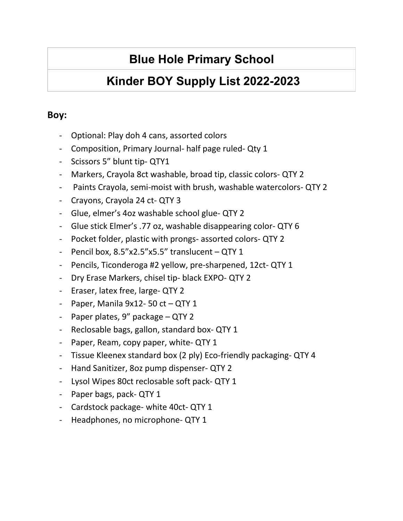# **Kinder BOY Supply List 2022-2023**

### **Boy:**

- Optional: Play doh 4 cans, assorted colors
- Composition, Primary Journal- half page ruled- Qty 1
- Scissors 5" blunt tip- QTY1
- Markers, Crayola 8ct washable, broad tip, classic colors- QTY 2
- Paints Crayola, semi-moist with brush, washable watercolors- QTY 2
- Crayons, Crayola 24 ct- QTY 3
- Glue, elmer's 4oz washable school glue- QTY 2
- Glue stick Elmer's .77 oz, washable disappearing color- QTY 6
- Pocket folder, plastic with prongs- assorted colors- QTY 2
- Pencil box, 8.5"x2.5"x5.5" translucent QTY 1
- Pencils, Ticonderoga #2 yellow, pre-sharpened, 12ct- QTY 1
- Dry Erase Markers, chisel tip- black EXPO- QTY 2
- Eraser, latex free, large- QTY 2
- Paper, Manila  $9x12 50$  ct  $-$  QTY 1
- Paper plates, 9" package QTY 2
- Reclosable bags, gallon, standard box- QTY 1
- Paper, Ream, copy paper, white- QTY 1
- Tissue Kleenex standard box (2 ply) Eco-friendly packaging- QTY 4
- Hand Sanitizer, 8oz pump dispenser- QTY 2
- Lysol Wipes 80ct reclosable soft pack- QTY 1
- Paper bags, pack- QTY 1
- Cardstock package- white 40ct- QTY 1
- Headphones, no microphone- QTY 1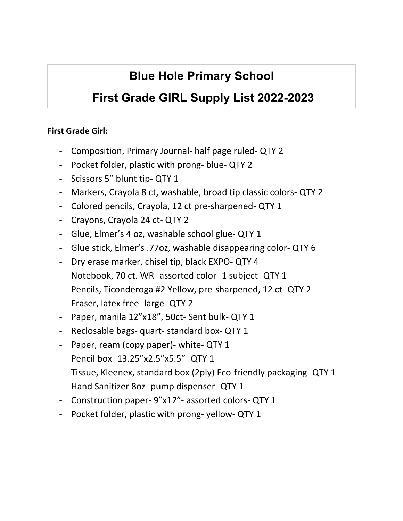# **First Grade GIRL Supply List 2022-2023**

### **First Grade Girl:**

- Composition, Primary Journal- half page ruled- QTY 2
- Pocket folder, plastic with prong- blue- QTY 2
- Scissors 5" blunt tip- QTY 1
- Markers, Crayola 8 ct, washable, broad tip classic colors- QTY 2
- Colored pencils, Crayola, 12 ct pre-sharpened- QTY 1
- Crayons, Crayola 24 ct- QTY 2
- Glue, Elmer's 4 oz, washable school glue- QTY 1
- Glue stick, Elmer's .77oz, washable disappearing color- QTY 6
- Dry erase marker, chisel tip, black EXPO- QTY 4
- Notebook, 70 ct. WR- assorted color- 1 subject- QTY 1
- Pencils, Ticonderoga #2 Yellow, pre-sharpened, 12 ct- QTY 2
- Eraser, latex free- large- QTY 2
- Paper, manila 12"x18", 50ct- Sent bulk- QTY 1
- Reclosable bags- quart- standard box- QTY 1
- Paper, ream (copy paper)- white- QTY 1
- Pencil box- 13.25"x2.5"x5.5"- QTY 1
- Tissue, Kleenex, standard box (2ply) Eco-friendly packaging- QTY 1
- Hand Sanitizer 8oz- pump dispenser- QTY 1
- Construction paper- 9"x12"- assorted colors- QTY 1
- Pocket folder, plastic with prong- yellow- QTY 1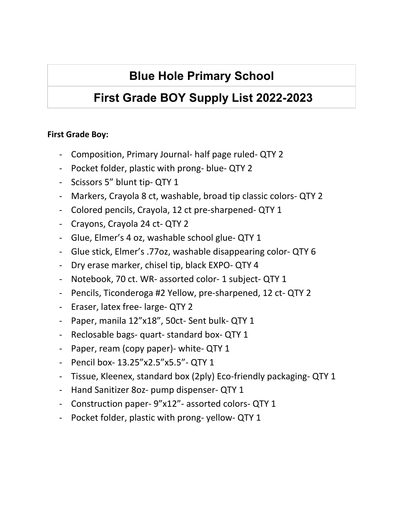# **First Grade BOY Supply List 2022-2023**

### **First Grade Boy:**

- Composition, Primary Journal- half page ruled- QTY 2
- Pocket folder, plastic with prong- blue- QTY 2
- Scissors 5" blunt tip- QTY 1
- Markers, Crayola 8 ct, washable, broad tip classic colors- QTY 2
- Colored pencils, Crayola, 12 ct pre-sharpened- QTY 1
- Crayons, Crayola 24 ct- QTY 2
- Glue, Elmer's 4 oz, washable school glue- QTY 1
- Glue stick, Elmer's .77oz, washable disappearing color- QTY 6
- Dry erase marker, chisel tip, black EXPO- QTY 4
- Notebook, 70 ct. WR- assorted color- 1 subject- QTY 1
- Pencils, Ticonderoga #2 Yellow, pre-sharpened, 12 ct- QTY 2
- Eraser, latex free- large- QTY 2
- Paper, manila 12"x18", 50ct- Sent bulk- QTY 1
- Reclosable bags- quart- standard box- QTY 1
- Paper, ream (copy paper)- white- QTY 1
- Pencil box- 13.25"x2.5"x5.5"- QTY 1
- Tissue, Kleenex, standard box (2ply) Eco-friendly packaging- QTY 1
- Hand Sanitizer 8oz- pump dispenser- QTY 1
- Construction paper- 9"x12"- assorted colors- QTY 1
- Pocket folder, plastic with prong- yellow- QTY 1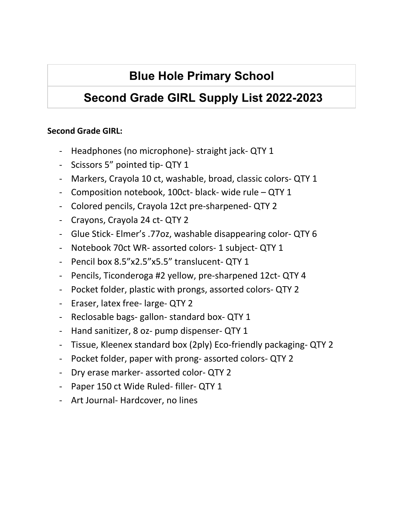# **Second Grade GIRL Supply List 2022-2023**

#### **Second Grade GIRL:**

- Headphones (no microphone)- straight jack- QTY 1
- Scissors 5" pointed tip- QTY 1
- Markers, Crayola 10 ct, washable, broad, classic colors- QTY 1
- Composition notebook, 100ct- black- wide rule QTY 1
- Colored pencils, Crayola 12ct pre-sharpened- QTY 2
- Crayons, Crayola 24 ct- QTY 2
- Glue Stick- Elmer's .77oz, washable disappearing color- QTY 6
- Notebook 70ct WR- assorted colors- 1 subject- QTY 1
- Pencil box 8.5"x2.5"x5.5" translucent- QTY 1
- Pencils, Ticonderoga #2 yellow, pre-sharpened 12ct- QTY 4
- Pocket folder, plastic with prongs, assorted colors- QTY 2
- Eraser, latex free- large- QTY 2
- Reclosable bags- gallon- standard box- QTY 1
- Hand sanitizer, 8 oz- pump dispenser- QTY 1
- Tissue, Kleenex standard box (2ply) Eco-friendly packaging- QTY 2
- Pocket folder, paper with prong- assorted colors- QTY 2
- Dry erase marker- assorted color- QTY 2
- Paper 150 ct Wide Ruled- filler- QTY 1
- Art Journal- Hardcover, no lines